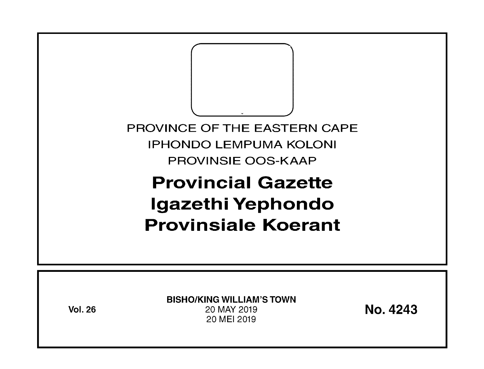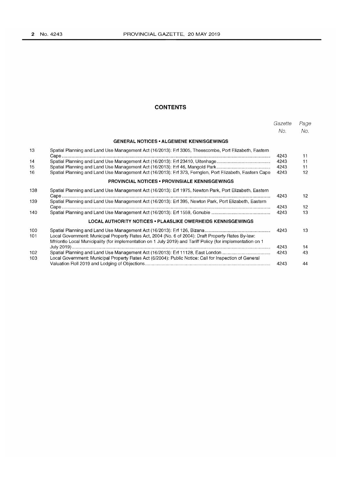## **CONTENTS**

|            |                                                                                                            | Gazette<br>No. | Page<br>No. |
|------------|------------------------------------------------------------------------------------------------------------|----------------|-------------|
|            | <b>GENERAL NOTICES • ALGEMENE KENNISGEWINGS</b>                                                            |                |             |
| 13         | Spatial Planning and Land Use Management Act (16/2013): Erf 3305, Theescombe, Port Elizabeth, Eastern      | 4243           | 11          |
| 14         |                                                                                                            | 4243           | 11          |
| 15         |                                                                                                            | 4243           | 11          |
| 16         | Spatial Planning and Land Use Management Act (16/2013): Erf 373, Fernglen, Port Elizabeth, Eastern Cape    | 4243           | 12          |
|            | <b>PROVINCIAL NOTICES • PROVINSIALE KENNISGEWINGS</b>                                                      |                |             |
| 138        | Spatial Planning and Land Use Management Act (16/2013): Erf 1975, Newton Park, Port Elizabeth, Eastern     |                |             |
| 139        | Spatial Planning and Land Use Management Act (16/2013): Erf 395, Newton Park, Port Elizabeth, Eastern      | 4243           | 12          |
|            |                                                                                                            | 4243           | 12          |
| 140        |                                                                                                            | 4243           | 13          |
|            |                                                                                                            |                |             |
|            | LOCAL AUTHORITY NOTICES • PLAASLIKE OWERHEIDS KENNISGEWINGS                                                |                |             |
| 100        |                                                                                                            | 4243           | 13          |
| 101        | Local Government: Municipal Property Rates Act, 2004 (No. 6 of 2004): Draft Property Rates By-law:         |                |             |
|            | Mhlontio Local Municipality (for implementation on 1 July 2019) and Tariff Policy (for implementation on 1 |                |             |
|            |                                                                                                            | 4243           | 14          |
| 102<br>103 | Local Government: Municipal Property Rates Act (6/2004): Public Notice: Call for Inspection of General     | 4243           | 43          |
|            |                                                                                                            | 4243           | 44          |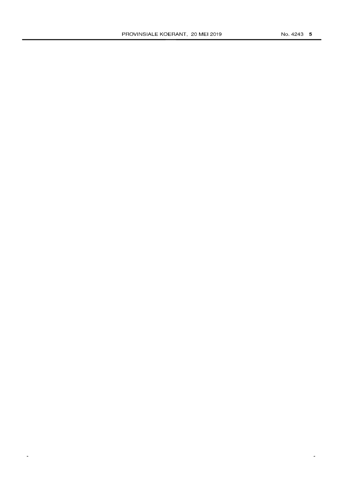$\bar{\mathcal{A}}$ 

 $\overline{\phantom{a}}$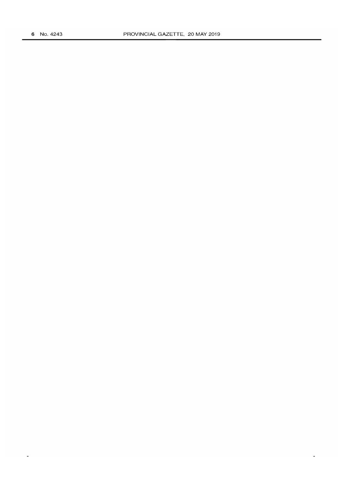$\Box$ 

 $\overline{\phantom{a}}$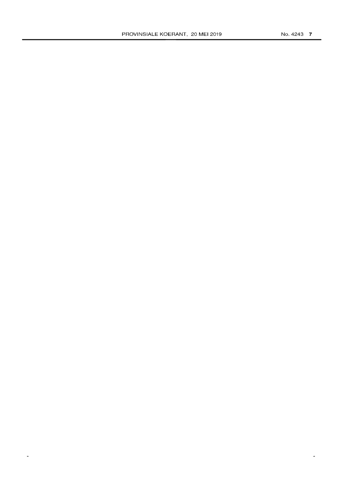$\Box$ 

 $\tilde{\phantom{a}}$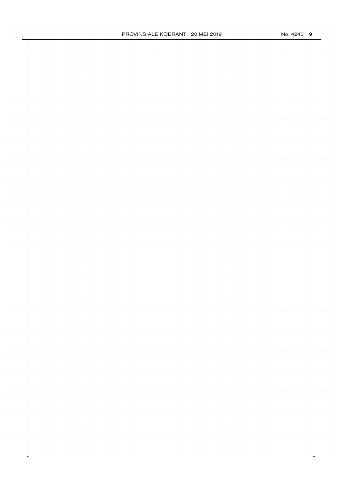$\ddot{\phantom{a}}$ 

 $\tilde{\phantom{a}}$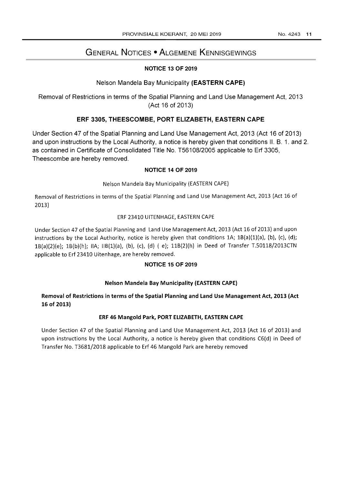## GENERAL NOTICES • ALGEMENE KENNISGEWINGS

## NOTICE 13 OF 2019

## Nelson Mandela Bay Municipality (EASTERN CAPE)

Removal of Restrictions in terms of the Spatial Planning and Land Use Management Act, 2013 (Act 16 of 2013)

## ERF 3305, THEESCOMBE, PORT ELIZABETH, EASTERN CAPE

Under Section 47 of the Spatial Planning and Land Use Management Act, 2013 (Act 16 of 2013) and upon instructions by the Local Authority, a notice is hereby given that conditions II. B. 1. and 2. as contained in Certificate of Consolidated Title No. T561 *08/2005* applicable to Erf 3305, Theescombe are hereby removed.

## NOTICE 14 OF 2019

## Nelson Mandela Bay Municipality (EASTERN CAPE)

Removal of Restrictions in terms of the Spatial Planning and Land Use Management Act, 2013 (Act 16 of 2013)

## ERF 23410 UITENHAGE, EASTERN CAPE

Under Section 47 ofthe Spatial Planning and Land Use Management Act, 2013 (Act 16 of 2013) and upon instructions by the Local Authority, notice is hereby given that conditions 1A; 1B(a)(1)(a), (b), (c), (d); 1B(a)(2)(e); 1B(b)(h); IIA; IIB(1)(a), (b), (c), (d) ( e); 11B(2)(h) in Deed of Transfer T.50118/2013CTN applicable to Erf 23410 Uitenhage, are hereby removed.

## NOTICE 15 OF 2019

## Nelson Mandela Bay Municipality (EASTERN CAPE)

## Removal of Restrictions in terms of the Spatial Planning and Land Use Management Act, 2013 (Act 16 of 2013)

## ERF 46 Mangold Park, PORT ELIZABETH, EASTERN CAPE

Under Section 47 of the Spatial Planning and Land Use Management Act, 2013 (Act 16 of 2013) and upon instructions by the Local Authority, a notice is hereby given that conditions C6(d) in Deed of Transfer No. T3681/2018 applicable to Erf 46 Mangold Park are hereby removed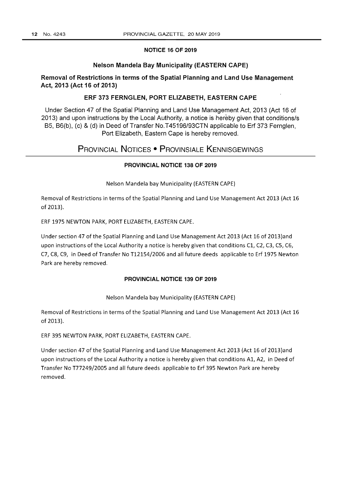## NOTICE 16 OF 2019

## Nelson Mandela Bay Municipality (EASTERN CAPE)

## Removal of Restrictions in terms of the Spatial Planning and Land Use Management Act, 2013 (Act 16 of 2013)

## ERF 373 FERNGLEN, PORT ELIZABETH, EASTERN CAPE

Under Section 47 of the Spatial Planning and Land Use Management Act, 2013 (Act 16 of 2013) and upon instructions by the Local Authority, a notice is hereby given that conditions/s 85, 86(b), (c) & (d) in Deed of Transfer NO.T45196/93CTN applicable to Erf 373 Fernglen, Port Elizabeth, Eastern Cape is hereby removed.

## PROVINCIAL NOTICES • PROVINSIALE KENNISGEWINGS

## PROVINCIAL NOTICE 138 OF 2019

Nelson Mandela bay Municipality (EASTERN CAPE)

Removal of Restrictions in terms of the Spatial Planning and Land Use Management Act 2013 (Act 16 of 2013).

ERF 1975 NEWTON PARK, PORT ELIZABETH, EASTERN CAPE.

Under section 47 of the Spatial Planning and Land Use Management Act 2013 (Act 16 of 2013)and upon instructions of the Local Authority a notice is hereby given that conditions Cl, C2, C3, C5, C6, C7, C8, C9, in Deed of Transfer No T12154/2006 and all future deeds applicable to Erf 1975 Newton Park are hereby removed.

## PROVINCIAL NOTICE 139 OF 2019

Nelson Mandela bay Municipality (EASTERN CAPE)

Removal of Restrictions in terms of the Spatial Planning and Land Use Management Act 2013 (Act 16 of 2013).

ERF 395 NEWTON PARK, PORT ELIZABETH, EASTERN CAPE.

Under section 47 of the Spatial Planning and Land Use Management Act 2013 (Act 16 of 2013)and upon instructions of the Local Authority a notice is hereby given that conditions Al, A2, in Deed of Transfer No T77249/2005 and all future deeds applicable to Erf 395 Newton Park are hereby removed.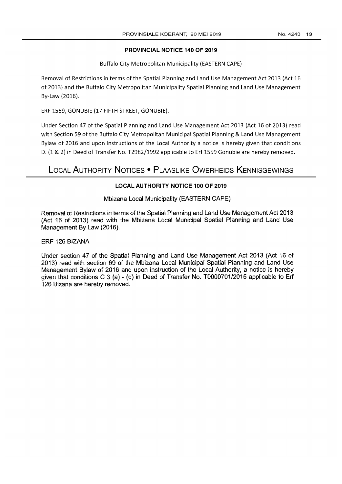## **PROVINCIAL NOTICE 140 OF 2019**

Buffalo City Metropolitan Municipality (EASTERN CAPE)

Removal of Restrictions in terms of the Spatial Planning and Land Use Management Act 2013 (Act 16 of 2013) and the Buffalo City Metropolitan Municipality Spatial Planning and Land Use Management By-Law (2016).

ERF 1559, GONUBIE (17 FIFTH STREET, GONUBIE).

Under Section 47 of the Spatial Planning and Land Use Management Act 2013 (Act 16 of 2013) read with Section 59 of the Buffalo City Metropolitan Municipal Spatial Planning & Land Use Management Bylaw of 2016 and upon instructions of the Local Authority a notice is hereby given that conditions D. (1 & 2) in Deed of Transfer No. T2982/1992 applicable to Erf 1559 Gonubie are hereby removed.

## LOCAL AUTHORITY NOTICES • PLAASLIKE OWERHEIDS KENNISGEWINGS

## **LOCAL AUTHORITY NOTICE 100 OF 2019**

## Mbizana Local Municipality (EASTERN CAPE)

Removal of Restrictions in terms of the Spatial Planning and Land Use Management Act 2013 (Act 16 of 2013) read with the Mbizana Local Municipal Spatial Planning and Land Use Management By Law (2016).

## ERF 126 BIZANA

Under section 47 of the Spatial Planning and Land Use Management Act 2013 (Act 16 of 2013) read with section 69 of the Mbizana Local Municipal Spatial Planning and Land Use Management Bylaw of 2016 and upon instruction of the Local Authority, a notice is hereby given that conditions C 3 (a) - (d) in Deed of Transfer No. T0000701/2015 applicable to Erf 126 Bizana are hereby removed.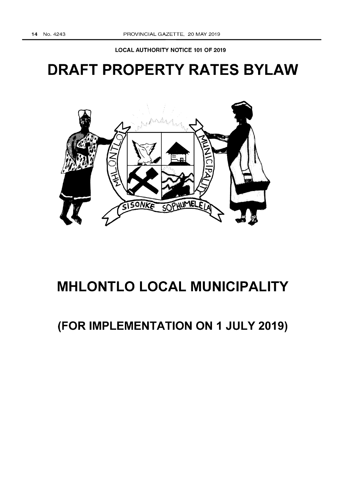LOCAL AUTHORITY NOTICE 101 OF 2019

# **DRAFT PROPERTY RATES BYLAW**



# **MHLONTLO LOCAL MUNICIPALITY**

# **(FOR IMPLEMENTATION ON 1 JULY 2019)**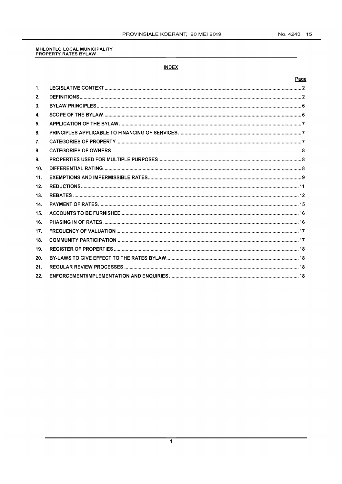**INDEX** 

|                | Page |  |
|----------------|------|--|
| $\mathbf{1}$ . |      |  |
| 2.             |      |  |
| 3.             |      |  |
| 4.             |      |  |
| 5.             |      |  |
| 6.             |      |  |
| 7.             |      |  |
| 8.             |      |  |
| 9.             |      |  |
| 10.            |      |  |
| 11.            |      |  |
| 12.            |      |  |
| 13.            |      |  |
| 14.            |      |  |
| 15.            |      |  |
| 16.            |      |  |
| 17.            |      |  |
| 18.            |      |  |
| 19.            |      |  |
| 20.            |      |  |
| 21.            |      |  |
| 22.            |      |  |

 $\overline{\mathbf{1}}$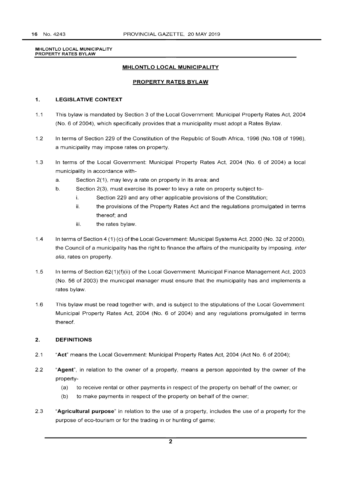## **MHLONTLO LOCAL MUNICIPALITY**

## **PROPERTY RATES BYLAW**

## 1. **LEGISLATIVE CONTEXT**

- 1.1 This bylaw is mandated by Section 3 of the Local Government: Municipal Property Rates Act, 2004 (No.6 of 2004), which specifically provides that a municipality must adopt a Rates Bylaw.
- 1.2 In terms of Section 229 of the Constitution of the Republic of South Africa, 1996 (No.1 08 of 1996), a municipality may impose rates on property.
- 1.3 In terms of the Local Government: Municipal Property Rates Act, 2004 (No.6 of 2004) a local municipality in accordance with
	- a. Section 2(1), may levy a rate on property in its area; and
	- b. Section 2(3), must exercise its power to levy a rate on property subject to
		- i. Section 229 and any other applicable provisions of the Constitution;
			- ii. the provisions of the Property Rates Act and the regulations promulgated in terms thereof; and
			- iii. the rates bylaw.
- 1.4 In terms of Section 4 (1) (c) of the Local Government: Municipal Systems Act, 2000 (No. 32 of 2000), the Council of a municipality has the right to finance the affairs of the municipality by imposing, inter alia, rates on property.
- 1.5 In terms of Section 62(1 )(f)(ii) of the Local Government: Municipal Finance Management Act, 2003 (No. 56 of 2003) the municipal manager must ensure that the municipality has and implements a rates bylaw.
- 1.6 This bylaw must be read together with, and is subject to the stipulations of the Local Government: Municipal Property Rates Act, 2004 (No.6 of 2004) and any regulations promulgated in terms thereof.

### 2. **DEFINITIONS**

- 2.1 "Act" means the Local Government: Municipal Property Rates Act, 2004 (Act No. 6 of 2004);
- 2.2 "Agent", in relation to the owner of a property, means a person appointed by the owner of the property-
	- (a) to receive rental or other payments in respect of the property on behalf of the owner; or
	- (b) to make payments in respect of the property on behalf of the owner;
- 2.3 "Agricultural purpose" in relation to the use of a property, includes the use of a property for the purpose of eco-tourism or for the trading in or hunting of game;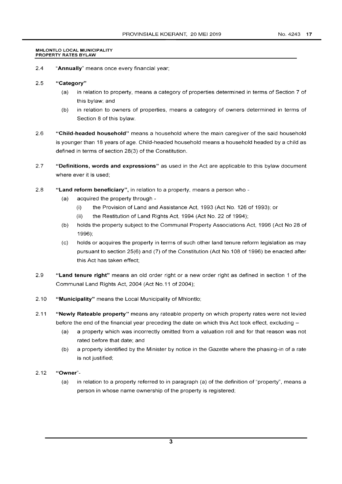2.4 "Annually" means once every financial year;

## 2.5 "Category"

- (a) in relation to property, means a category of properties determined in terms of Section 7 of this bylaw; and
- (b) in relation to owners of properties, means a category of owners determined in terms of Section 8 of this bylaw.
- 2.6 "Child-headed household" means a household where the main caregiver of the said household is younger than 18 years of age. Child-headed household means a household headed by a child as defined in terms of section 28(3) of the Constitution.
- 2.7 "Definitions, words and expressions" as used in the Act are applicable to this bylaw document where ever it is used;
- 2.8 "Land reform beneficiary", in relation to a property, means a person who -
	- (a) acquired the property through
		- (i) the Provision of Land and Assistance Act, 1993 (Act No. 126 of 1993); or
		- (ii) the Restitution of Land Rights Act, 1994 (Act No. 22 of 1994);
	- (b) holds the property subject to the Communal Property Associations Act, 1996 (Act No 28 of 1996);
	- (c) holds or acquires the property in terms of such other land tenure reform legislation as may pursuant to section 25(6) and (7) of the Constitution (Act No.1 08 of 1996) be enacted after this Act has taken effect;
- 2.9 "Land tenure right" means an old order right or a new order right as defined in section 1 of the Communal Land Rights Act, 2004 (Act No.11 of 2004);
- 2.10 "Municipality" means the Local Municipality of Mhlontlo;
- 2.11 "Newly Rateable property" means any rateable property on which property rates were not levied before the end of the financial year preceding the date on which this Act took effect, excluding -
	- (a) a property which was incorrectly omitted from a valuation roll and for that reason was not rated before that date; and
	- (b) a property identified by the Minister by notice in the Gazette where the phasing-in of a rate is not justified;

## 2.12 "Owner"-

(a) in relation to a property referred to in paragraph (a) of the definition of "property", means a person in whose name ownership of the property is registered;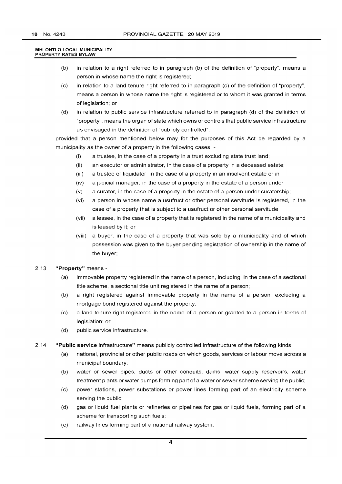- (b) in relation to a right referred to in paragraph (b) of the definition of "property", means a person in whose name the right is registered;
- (c) in relation to a land tenure right referred to in paragraph (c) of the definition of "property", means a person in whose name the right is registered or to whom it was granted in terms of legislation; or
- (d) in relation to public service infrastructure referred to in paragraph (d) of the definition of "property", means the organ of state which owns or controls that public service infrastructure as envisaged in the definition of "publicly controlled",

provided that a person mentioned below may for the purposes of this Act be regarded by a municipality as the owner of a property in the following cases: -

- (i) a trustee, in the case of a property in a trust excluding state trust land;
- (ii) an executor or administrator, in the case of a property in a deceased estate;
- (iii) a trustee or liquidator, in the case of a property in an insolvent estate or in
- (iv) a judicial manager, in the case of a property in the estate of a person under
- (v) a curator, in the case of a property in the estate of a person under curatorship;
- (vi) a person in whose name a usufruct or other personal servitude is registered, in the case of a property that is subject to a usufruct or other personal servitude;
- (vii) a lessee, in the case of a property that is registered in the name of a municipality and is leased by it; or
- (viii) a buyer, in the case of a property that was sold by a municipality and of which possession was given to the buyer pending registration of ownership in the name of the buyer;

## 2.13 **"Property"** means -

- (a) immovable property registered in the name of a person, including, in the case of a sectional title scheme, a sectional title unit registered in the name of a person;
- (b) a right registered against immovable property in the name of a person, excluding a mortgage bond registered against the property;
- (c) a land tenure right registered in the name of a person or granted to a person in terms of legislation; or
- (d) public service infrastructure.
- 2.14 **"Public service** infrastructure" means publicly controlled infrastructure of the following kinds:
	- (a) national, provincial or other public roads on which goods, services or labour move across a municipal boundary;
	- (b) water or sewer pipes, ducts or other conduits, dams, water supply reservoirs, water treatment plants or water pumps forming part of a water or sewer scheme serving the public;
	- (c) power stations, power substations or power lines forming part of an electricity scheme serving the public;
	- (d) gas or liquid fuel plants or refineries or pipelines for gas or liquid fuels, forming part of a scheme for transporting such fuels;
	- (e) railway lines forming part of a national railway system;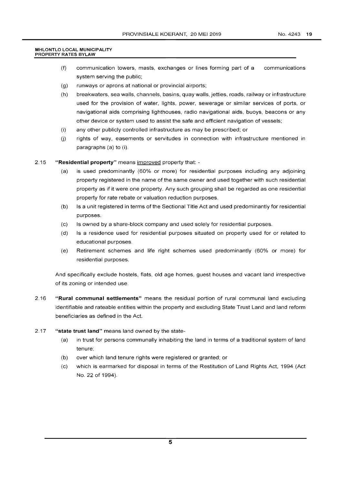- (f) communication towers, masts, exchanges or lines forming part of a system serving the public; communications
- (g) runways or aprons at national or provincial airports;
- (h) breakwaters, sea walls, channels, basins, quay walls, jetties, roads, railway or infrastructure used for the provision of water, lights, power, sewerage or similar services of ports, or navigational aids comprising lighthouses, radio navigational aids, buoys, beacons or any other device or system used to assist the safe and efficient navigation of vessels;
- (i) any other publicly controlled infrastructure as may be prescribed; or
- U) rights of way, easements or servitudes in connection with infrastructure mentioned in paragraphs (a) to (i).

## 2.15 "Residential property" means improved property that: -

- (a) is used predominantly (60% or more) for residential purposes including any adjoining property registered in the name of the same owner and used together with such residential property as if it were one property. Any such grouping shall be regarded as one residential property for rate rebate or valuation reduction purposes.
- (b) Is a unit registered in terms of the Sectional Title Act and used predominantly for residential purposes.
- (c) Is owned by a share-block company and used solely for residential purposes.
- (d) Is a residence used for residential purposes situated on property used for or related to educational purposes.
- (e) Retirement schemes and life right schemes used predominantly (60% or more) for residential purposes.

And specifically exclude hostels, flats, old age homes, guest houses and vacant land irrespective of its zoning or intended use.

- 2.16 "Rural communal settlements" means the residual portion of rural communal land excluding identifiable and rateable entities within the property and excluding State Trust Land and land reform beneficiaries as defined in the Act.
- 2.17 "state trust land" means land owned by the state-
	- (a) in trust for persons communally inhabiting the land in terms of a traditional system of land tenure;
	- (b) over which land tenure rights were registered or granted; or
	- (c) which is earmarked for disposal in terms of the Restitution of Land Rights Act, 1994 (Act No. 22 of 1994).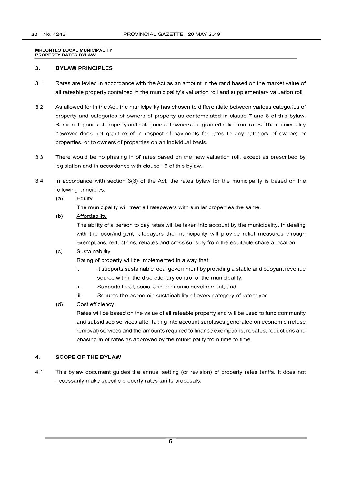### **3. BYLAW PRINCIPLES**

- 3.1 Rates are levied in accordance with the Act as an amount in the rand based on the market value of all rateable property contained in the municipality's valuation roll and supplementary valuation roll.
- 3.2 As allowed for in the Act, the municipality has chosen to differentiate between various categories of property and categories of owners of property as contemplated in clause 7 and 8 of this bylaw. Some categories of property and categories of owners are granted relief from rates. The municipality however does not grant relief in respect of payments for rates to any category of owners or properties, or to owners of properties on an individual basis.
- 3.3 There would be no phasing in of rates based on the new valuation roll, except as prescribed by legislation and in accordance with clause 16 of this bylaw.
- 3.4 In accordance with section 3(3) of the Act, the rates bylaw for the municipality is based on the following principles:<br>(a) <u>Equity</u>
	-

The municipality will treat all ratepayers with similar properties the same.

## (b) Affordability

The ability of a person to pay rates will be taken into account by the municipality. In dealing with the poor/indigent ratepayers the municipality will provide relief measures through exemptions, reductions, rebates and cross subsidy from the equitable share allocation.

## (c) Sustainability

Rating of property will be implemented in a way that:

- i. it supports sustainable local government by providing a stable and buoyant revenue source within the discretionary control of the municipality;
- ii. Supports local, social and economic development; and
- iii. Secures the economic sustainability of every category of ratepayer.

## (d) Cost efficiency

Rates will be based on the value of all rateable property and will be used to fund community and subsidised services after taking into account surpluses generated on economic (refuse removal) services and the amounts required to finance exemptions, rebates, reductions and phasing-in of rates as approved by the municipality from time to time.

## **4. SCOPE OF THE BYLAW**

4.1 This bylaw document guides the annual setting (or revision) of property rates tariffs. It does not necessarily make specific property rates tariffs proposals.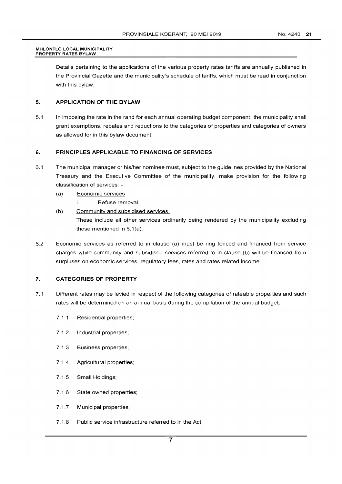Details pertaining to the applications of the various property rates tariffs are annually published in the Provincial Gazette and the municipality's schedule of tariffs, which must be read in conjunction with this bylaw.

## 5. **APPLICATION OF THE BYLAW**

5.1 In imposing the rate in the rand for each annual operating budget component, the municipality shall grant exemptions, rebates and reductions to the categories of properties and categories of owners as allowed for in this bylaw document.

## 6. **PRINCIPLES APPLICABLE TO FINANCING OF SERVICES**

- 6.1 The municipal manager or his/her nominee must, subject to the guidelines provided by the National Treasury and the Executive Committee of the municipality, make provision for the following classification of services: -
	- (a) Economic services
		- i. Refuse removal.
	- (b) Community and subsidised services. These include all other services ordinarily being rendered by the municipality excluding those mentioned in 6.1(a).
- 6.2 Economic services as referred to in clause (a) must be ring fenced and financed from service charges while community and subsidised services referred to in clause (b) will be financed from surpluses on economic services, regulatory fees, rates and rates related income.

## 7. **CATEGORIES OF PROPERTY**

- 7.1 Different rates may be levied in respect of the following categories of rateable properties and such rates will be determined on an annual basis during the compilation of the annual budget: -
	- 7.1.1 Residential properties;
	- 7.1.2 Industrial properties;
	- 7.1.3 Business properties;
	- 7.1.4 Agricultural properties;
	- 7.1.5 Small Holdings;
	- 7.1.6 State owned properties;
	- 7.1.7 Municipal properties;
	- 7.1.8 Public service infrastructure referred to in the Act;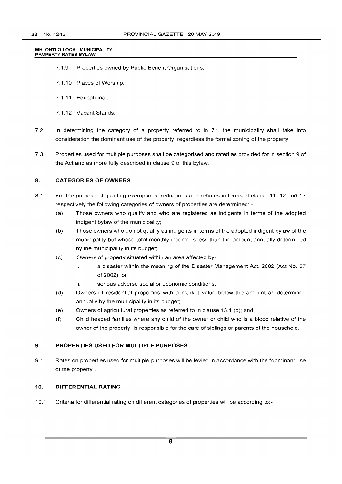- 7.1.9 Properties owned by Public Benefit Organisations;
- 7.1.10 Places of Worship;
- 7.1.11 Educational;
- 7.1.12 Vacant Stands.
- 7.2 In determining the category of a property referred to in 7.1 the municipality shall take into consideration the dominant use of the property, regardless the formal zoning of the property.
- 7.3 Properties used for multiple purposes shall be categorised and rated as provided for in section 9 of the Act and as more fully described in clause 9 of this bylaw.

## **8. CATEGORIES OF OWNERS**

- 8.1 For the purpose of granting exemptions, reductions and rebates in terms of clause 11, 12 and 13 respectively the following categories of owners of properties are determined: -
	- (a) Those owners who qualify and who are registered as indigents in terms of the adopted indigent bylaw of the municipality;
	- (b) Those owners who do not qualify as indigents in terms of the adopted indigent bylaw of the municipality but whose total monthly income is less than the amount annually determined by the municipality in its budget;
	- (c) Owners of property situated within an area affected by
		- i. a disaster within the meaning of the Disaster Management Act, 2002 (Act No. 57 of 2002); or
		- ii. serious adverse social or economic conditions.
	- (d) Owners of residential properties with a market value below the amount as determined annually by the municipality in its budget;
	- (e) Owners of agricultural properties as referred to in clause 13.1 (b); and
	- (f) Child headed families where any child of the owner or child who is a blood relative of the owner of the property, is responsible for the care of siblings or parents of the household.

## **9. PROPERTIES USED FOR MULTIPLE PURPOSES**

9.1 Rates on properties used for multiple purposes will be levied in accordance with the "dominant use of the property".

## **10. DIFFERENTIAL RATING**

1 0.1 Criteria for differential rating on different categories of properties will be according to:-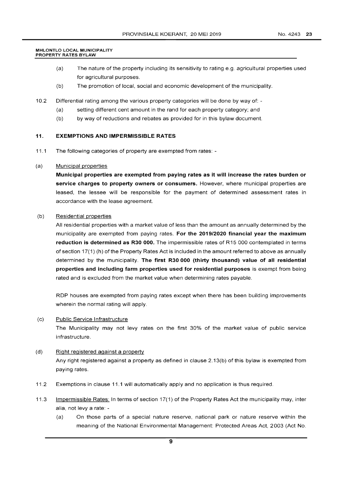- (a) The nature of the property including its sensitivity to rating e.g. agricultural properties used for agricultural purposes.
- (b) The promotion of local, social and economic development of the municipality.
- 10.2 Differential rating among the various property categories will be done by way of:
	- (a) setting different cent amount in the rand for each property category; and
	- (b) by way of reductions and rebates as provided for in this bylaw document.

## **11. EXEMPTIONS AND IMPERMISSIBLE RATES**

11.1 The following categories of property are exempted from rates: -

## (a) Municipal properties

**Municipal properties are exempted from paying rates as it will increase the rates burden or service charges to property owners or consumers.** However, where municipal properties are leased, the lessee will be responsible for the payment of determined assessment rates in accordance with the lease agreement.

## (b) Residential properties

All residential properties with a market value of less than the amount as annually determined by the municipality are exempted from paying rates. **For the 2019/2020 financial year the maximum reduction is determined as R30 000.** The impermissible rates of R 15 000 contemplated in terms of section 17(1) (h) of the Property Rates Act is included in the amount referred to above as annually determined by the municipality. **The first R30000 (thirty thousand) value of all residential properties and including farm properties used for residential purposes** is exempt from being rated and is excluded from the market value when determining rates payable.

RDP houses are exempted from paying rates except when there has been building improvements wherein the normal rating will apply.

### (c) Public Service Infrastructure

The Municipality may not levy rates on the first 30% of the market value of public service infrastructure.

### (d) Right registered against a property

Any right registered against a property as defined in clause 2.13(b) of this bylaw is exempted from paying rates.

- 11.2 Exemptions in clause 11.1 will automatically apply and no application is thus required.
- 11.3 Impermissible Rates: In terms of section 17(1) of the Property Rates Act the municipality may, inter alia, not levy a rate: -
	- (a) On those parts of a special nature reserve, national park or nature reserve within the meaning of the National Environmental Management: Protected Areas Act, 2003 (Act No.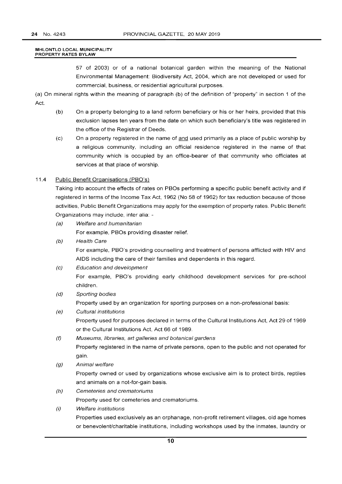57 of 2003) or of a national botanical garden within the meaning of the National Environmental Management: Biodiversity Act, 2004, which are not developed or used for commercial, business, or residential agricultural purposes.

(a) On mineral rights within the meaning of paragraph (b) of the definition of "property" in section 1 of the Act.

- (b) On a property belonging to a land reform beneficiary or his or her heirs, provided that this exclusion lapses ten years from the date on which such beneficiary's title was registered in the office of the Registrar of Deeds.
- (c) On a property registered in the name of and used primarily as a place of public worship by a religious community, including an official residence registered in the name of that community which is occupied by an office-bearer of that community who officiates at services at that place of worship.

## 11.4 Public Benefit Organisations (PBO's)

Taking into account the effects of rates on PBOs performing a specific public benefit activity and if registered in terms of the Income Tax Act, 1962 (No 58 of 1962) for tax reduction because of those activities, Public Benefit Organizations may apply for the exemption of property rates. Public Benefit Organizations may include, inter alia: -

- (a) Welfare and humanitarian For example, PBOs providing disaster relief.
- (b) Health Care For example, PBO's providing counselling and treatment of persons afflicted with HIV and
	- AIDS including the care of their families and dependents in this regard.
- (c) Education and development

For example, PBO's providing early childhood development services for pre-school children.

(d) Sporting bodies

Property used by an organization for sporting purposes on a non-professional basis:

- (e) Cultural institutions Property used for purposes declared in terms of the Cultural Institutions Act, Act 29 of 1969 or the Cultural Institutions Act, Act 66 of 1989.
- (f) Museums, libraries, art galleries and botanical gardens Property registered in the name of private persons, open to the public and not operated for gain.
- (g) Animal welfare

Property owned or used by organizations whose exclusive aim is to protect birds, reptiles and animals on a not-for-gain basis.

- (h) Cemeteries and crematoriums Property used for cemeteries and crematoriums.
- (i) Welfare institutions Properties used exclusively as an orphanage, non-profit retirement villages, old age homes or benevolent/charitable institutions, including workshops used by the inmates, laundry or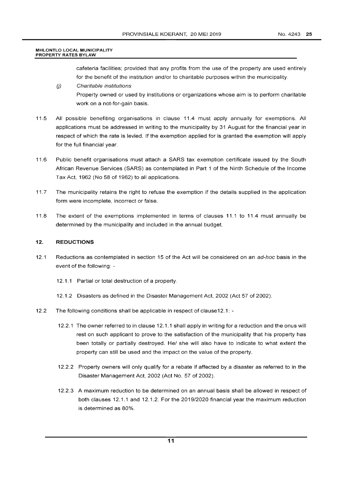cafeteria facilities; provided that any profits from the use of the property are used entirely for the benefit of the institution and/or to charitable purposes within the municipality.

- *(i)* Charitable institutions Property owned or used by institutions or organizations whose aim is to perform charitable work on a not-for-gain basis.
- 11.5 All possible benefiting organisations in clause 11.4 must apply annually for exemptions. All applications must be addressed in writing to the municipality by 31 August for the financial year in respect of which the rate is levied. If the exemption applied for is granted the exemption will apply for the full financial year.
- 11.6 Public benefit organisations must attach a SARS tax exemption certificate issued by the South African Revenue Services (SARS) as contemplated in Part 1 of the Ninth Schedule of the Income Tax Act, 1962 (No 58 of 1962) to all applications.
- 11.7 The municipality retains the right to refuse the exemption if the details supplied in the application form were incomplete, incorrect or false.
- 11.8 The extent of the exemptions implemented in terms of clauses 11.1 to 11.4 must annually be determined by the municipality and included in the annual budget.

## **12. REDUCTIONS**

- 12.1 Reductions as contemplated in section 15 of the Act will be considered on an ad-hoc basis in the event of the following: -
	- 12.1.1 Partial or total destruction of a property.
	- 12.1.2 Disasters as defined in the Disaster Management Act, 2002 (Act 57 of 2002).
- 12.2 The following conditions shall be applicable in respect of clause12.1:
	- 12.2.1 The owner referred to in clause 12.1.1 shall apply in writing for a reduction and the onus will rest on such applicant to prove to the satisfaction of the municipality that his property has been totally or partially destroyed. He/ she will also have to indicate to what extent the property can still be used and the impact on the value of the property.
	- 12.2.2 Property owners will only qualify for a rebate if affected by a disaster as referred to in the Disaster Management Act, 2002 (Act No. 57 of 2002).
	- 12.2.3 A maximum reduction to be determined on an annual basis shall be allowed in respect of both clauses 12.1.1 and 12.1.2. For the 2019/2020 financial year the maximum reduction is determined as 80%.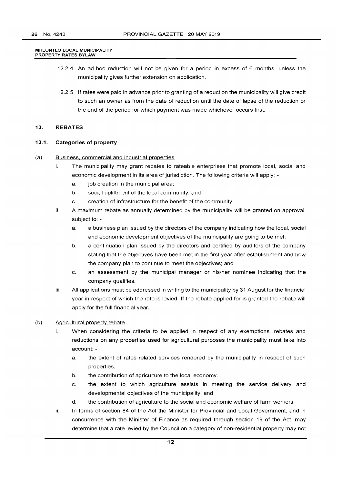- 12.2.4 An ad-hoc reduction will not be given for a period in excess of 6 months, unless the municipality gives further extension on application.
- 12.2.5 If rates were paid in advance prior to granting of a reduction the municipality will give credit to such an owner as from the date of reduction until the date of lapse of the reduction or the end of the period for which payment was made whichever occurs first.

## **13. REBATES**

## **13.1. Categories of property**

- (a) Business, commercial and industrial properties
	- i. The municipality may grant rebates to rateable enterprises that promote local, social and economic development in its area of jurisdiction. The following criteria will apply:
		- a. job creation in the municipal area;
		- b. social upliftment of the local community; and
		- c. creation of infrastructure for the benefit of the community.
	- ii. A maximum rebate as annually determined by the municipality will be granted on approval, subject to:
		- a. a business plan issued by the directors of the company indicating how the local, social and economic development objectives of the municipality are going to be met;
		- b. a continuation plan issued by the directors and certified by auditors of the company stating that the objectives have been met in the first year after establishment and how the company plan to continue to meet the objectives; and
		- c. an assessment by the municipal manager or his/her nominee indicating that the company qualifies.
	- iii. All applications must be addressed in writing to the municipality by 31 August for the financial year in respect of which the rate is levied. If the rebate applied for is granted the rebate will apply for the full financial year.

## (b) Agricultural property rebate

- i. When considering the criteria to be applied in respect of any exemptions, rebates and reductions on any properties used for agricultural purposes the municipality must take into account:
	- a. the extent of rates related services rendered by the municipality in respect of such properties.
	- b. the contribution of agriculture to the local economy.
	- c. the extent to which agriculture assists in meeting the service delivery and developmental objectives of the municipality; and
	- d. the contribution of agriculture to the social and economic welfare of farm workers.
- ii. In terms of section 84 of the Act the Minister for Provincial and Local Government, and in concurrence with the Minister of Finance as required through section 19 of the Act, may determine that a rate levied by the Council on a category of non-residential property may not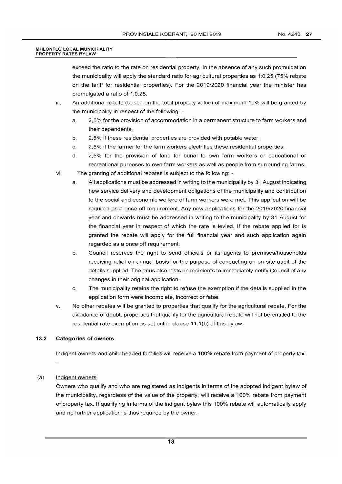exceed the ratio to the rate on residential property. In the absence of any such promulgation the municipality will apply the standard ratio for agricultural properties as 1 :0.25 (75% rebate on the tariff for residential properties). For the 2019/2020 financial year the minister has promulgated a ratio of 1 :0.25.

- iii. An additional rebate (based on the total property value) of maximum 10% will be granted by the municipality in respect of the following:
	- a. 2,5% for the provision of accommodation in a permanent structure to farm workers and their dependents.
	- b. 2,5% if these residential properties are provided with potable water.
	- c. 2,5% if the farmer for the farm workers electrifies these residential properties.
	- d. 2,5% for the provision of land for burial to own farm workers or educational or recreational purposes to own farm workers as well as people from surrounding farms.
- vi. The granting of additional rebates is subject to the following:
	- a. All applications must be addressed in writing to the municipality by 31 August indicating how service delivery and development obligations of the municipality and contribution to the social and economic welfare of farm workers were met. This application will be required as a once off requirement. Any new applications for the 2019/2020 financial year and onwards must be addressed in writing to the municipality by 31 August for the financial year in respect of which the rate is levied. If the rebate applied for is granted the rebate will apply for the full financial year and such application again regarded as a once off requirement.
	- b. Council reserves the right to send officials or its agents to premises/households receiving relief on annual basis for the purpose of conducting an on-site audit of the details supplied. The onus also rests on recipients to immediately notify Council of any changes in their original application.
	- c. The municipality retains the right to refuse the exemption if the details supplied in the application form were incomplete, incorrect or false.
- v. No other rebates will be granted to properties that qualify for the agricultural rebate. For the avoidance of doubt, properties that qualify for the agricultural rebate will not be entitled to the residential rate exemption as set out in clause 11.1 (b) of this bylaw.

## 13.2 Categories of owners

Indigent owners and child headed families will receive a 100% rebate from payment of property tax:

## (a) Indigent owners

Owners who qualify and who are registered as indigents in terms of the adopted indigent bylaw of the municipality, regardless of the value of the property, will receive a 100% rebate from payment of property tax. If qualifying in terms of the indigent bylaw this 100% rebate will automatically apply and no further application is thus required by the owner.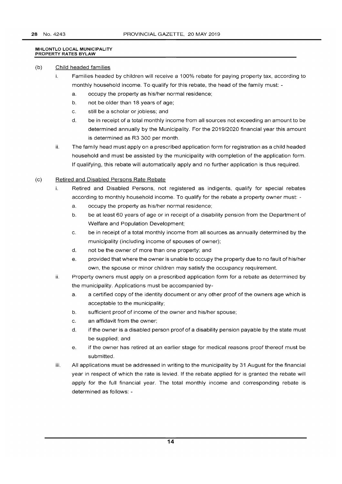## (b) Child headed families

- i. Families headed by children will receive a 100% rebate for paying property tax, according to monthly household income. To qualify for this rebate, the head of the family must:
	- a. occupy the property as his/her normal residence;
	- b. not be older than 18 years of age;
	- c. still be a scholar or jobless; and
	- d. be in receipt of a total monthly income from all sources not exceeding an amount to be determined annually by the Municipality. For the 2019/2020 financial year this amount is determined as R3 300 per month.
- ii. The family head must apply on a prescribed application form for registration as a child headed household and must be assisted by the municipality with completion of the application form. If qualifying, this rebate will automatically apply and no further application is thus required.

## (c) Retired and Disabled Persons Rate Rebate

- i. Retired and Disabled Persons, not registered as indigents, qualify for special rebates according to monthly household income. To qualify for the rebate a property owner must:
	- a. occupy the property as his/her normal residence;
	- b. be at least 60 years of age or in receipt of a disability pension from the Department of Welfare and Population Development;
	- c. be in receipt of a total monthly income from all sources as annually determined by the municipality (including income of spouses of owner);
	- d. not be the owner of more than one property; and
	- e. provided that where the owner is unable to occupy the property due to no fault of his/her own, the spouse or minor children may satisfy the occupancy requirement.
- ii. Property owners must apply on a prescribed application form for a rebate as determined by the municipality. Applications must be accompanied by
	- a. a certified copy of the identity document or any other proof of the owners age which is acceptable to the municipality;
	- b. sufficient proof of income of the owner and his/her spouse;
	- c. an affidavit from the owner;
	- d. if the owner is a disabled person proof of a disability pension payable by the state must be supplied; and
	- e. if the owner has retired at an earlier stage for medical reasons proof thereof must be submitted.
- iii. All applications must be addressed in writing to the municipality by 31 August for the financial year in respect of which the rate is levied. If the rebate applied for is granted the rebate will apply for the full financial year. The total monthly income and corresponding rebate is determined as follows: -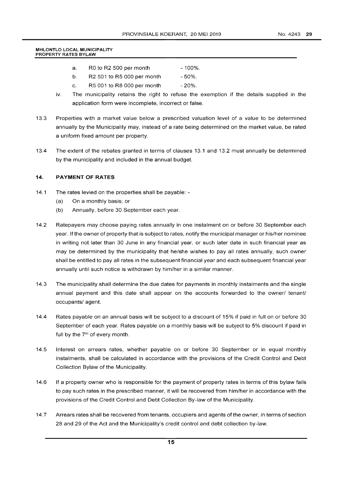- a. RO to R2 500 per month  $-100\%$ .
- b. R2 501 to R5 000 per month - 50%.
- c. R5 001 to R8 000 per month -20%.
- iv. The municipality retains the right to refuse the exemption if the details supplied in the application form were incomplete, incorrect or false.
- 13.3 Properties with a market value below a prescribed valuation level of a value to be determined annually by the Municipality may, instead of a rate being determined on the market value, be rated a uniform fixed amount per property.
- 13.4 The extent of the rebates granted in terms of clauses 13.1 and 13.2 must annually be determined by the municipality and included in the annual budget.

## 14. PAYMENT OF RATES

- 14.1 The rates levied on the properties shall be payable:
	- (a) On a monthly basis; or
	- (b) Annually, before 30 September each year.
- 14.2 Ratepayers may choose paying rates annually in one instalment on or before 30 September each year. If the owner of property that is subject to rates, notify the municipal manager or his/her nominee in writing not later than 30 June in any financial year, or such later date in such financial year as may be determined by the municipality that he/she wishes to pay all rates annually, such owner shall be entitled to pay all rates in the subsequent financial year and each subsequent financial year annually until such notice is withdrawn by him/her in a similar manner.
- 14.3 The municipality shall determine the due dates for payments in monthly instalments and the single annual payment and this date shall appear on the accounts forwarded to the owner/ tenant/ occupants/ agent.
- 14.4 Rates payable on an annual basis will be subject to a discount of 15% if paid in full on or before 30 September of each year. Rates payable on a monthly basis will be subject to 5% discount if paid in full by the 7<sup>th</sup> of every month.
- 14.5 Interest on arrears rates, whether payable on or before 30 September or in equal monthly instalments, shall be calculated in accordance with the provisions of the Credit Control and Debt Collection Bylaw of the Municipality.
- 14.6 If a property owner who is responsible for the payment of property rates in terms of this bylaw fails to pay such rates in the prescribed manner, it will be recovered from him/her in accordance with the provisions of the Credit Control and Debt Collection By-law of the Municipality.
- 14.7 Arrears rates shall be recovered from tenants, occupiers and agents of the owner, in terms of section 28 and 29 of the Act and the Municipality's credit control and debt collection by-law.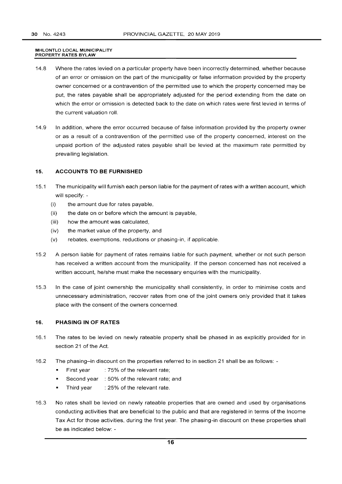- 14.8 Where the rates levied on a particular property have been incorrectly determined, whether because of an error or omission on the part of the municipality or false information provided by the property owner concerned or a contravention of the permitted use to which the property concerned may be put, the rates payable shall be appropriately adjusted for the period extending from the date on which the error or omission is detected back to the date on which rates were first levied in terms of the current valuation roll.
- 14.9 In addition, where the error occurred because of false information provided by the property owner or as a result of a contravention of the permitted use of the property concerned, interest on the unpaid portion of the adjusted rates payable shall be levied at the maximum rate permitted by prevailing legislation.

## 15. **ACCOUNTS TO BE FURNISHED**

- 15.1 The municipality will furnish each person liable for the payment of rates with a written account, which will specify: -
	- (i) the amount due for rates payable,
	- (ii) the date on or before which the amount is payable,
	- (iii) how the amount was calculated,
	- (iv) the market value of the property, and
	- (v) rebates, exemptions, reductions or phasing-in, if applicable.
- 15.2 A person liable for payment of rates remains liable for such payment, whether or not such person has received a written account from the municipality. If the person concerned has not received a written account, he/she must make the necessary enquiries with the municipality.
- 15.3 In the case of joint ownership the municipality shall consistently, in order to minimise costs and unnecessary administration, recover rates from one of the joint owners only provided that it takes place with the consent of the owners concerned.

## 16. **PHASING IN OF RATES**

- 16.1 The rates to be levied on newly rateable property shall be phased in as explicitly provided for in section 21 of the Act.
- 16.2 The phasing-in discount on the properties referred to in section 21 shall be as follows:
	- First year : 75% of the relevant rate;
	- Second year : 50% of the relevant rate; and  $\blacksquare$
	- Third year : 25% of the relevant rate.
- 16.3 No rates shall be levied on newly rateable properties that are owned and used by organisations conducting activities that are beneficial to the public and that are registered in terms of the Income Tax Act for those activities, during the first year. The phasing-in discount on these properties shall be as indicated below: -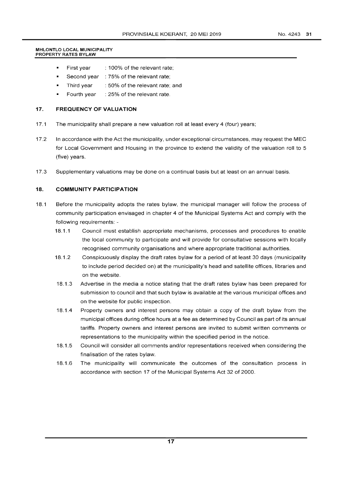- First year : 100% of the relevant rate;  $\blacksquare$
- Second year : 75% of the relevant rate;
- Third year : 50% of the relevant rate; and
- Fourth year : 25% of the relevant rate.

## **17. FREQUENCY OF VALUATION**

- 17.1 The municipality shall prepare a new valuation roll at least every 4 (four) years;
- 17.2 In accordance with the Act the municipality, under exceptional circumstances, may request the MEC for Local Government and Housing in the province to extend the validity of the valuation roll to 5 (five) years.
- 17.3 Supplementary valuations may be done on a continual basis but at least on an annual basis.

## **18. COMMUNITY PARTICIPATION**

- 18.1 Before the municipality adopts the rates bylaw, the municipal manager will follow the process of community participation envisaged in chapter 4 of the Municipal Systems Act and comply with the following requirements: -
	- 18.1.1 Council must establish appropriate mechanisms, processes and procedures to enable the local community to participate and will provide for consultative sessions with locally recognised community organisations and where appropriate traditional authorities.
	- 18.1.2 Conspicuously display the draft rates bylaw for a period of at least 30 days (municipality to include period decided on) at the municipality's head and satellite offices, libraries and on the website.
	- 18.1.3 Advertise in the media a notice stating that the draft rates bylaw has been prepared for submission to council and that such bylaw is available at the various municipal offices and on the website for public inspection.
	- 18.1.4 Property owners and interest persons may obtain a copy of the draft bylaw from the municipal offices during office hours at a fee as determined by Council as part of its annual tariffs. Property owners and interest persons are invited to submit written comments or representations to the municipality within the specified period in the notice.
	- 18.1.5 Council will consider all comments and/or representations received when considering the finalisation of the rates bylaw.
	- 18.1.6 The municipality will communicate the outcomes of the consultation process in accordance with section 17 of the Municipal Systems Act 32 of 2000.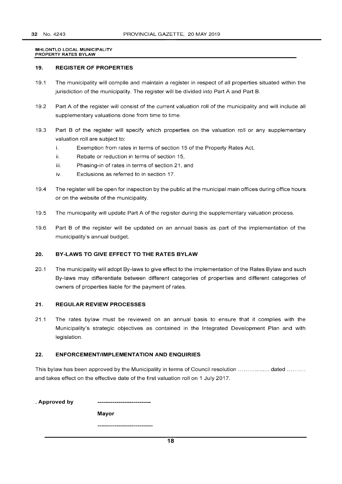### 19. REGISTER OF PROPERTIES

- 19.1 The municipality will compile and maintain a register in respect of all properties situated within the jurisdiction of the municipality. The register will be divided into Part A and Part B.
- 19.2 Part A of the register will consist of the current valuation roll of the municipality and will include all supplementary valuations done from time to time.
- 19.3 Part B of the register will specify which properties on the valuation roll or any supplementary valuation roll are subject to:
	- i. Exemption from rates in terms of section 15 of the Property Rates Act,
	- ii. Rebate or reduction in terms of section 15,
	- iii. Phasing-in of rates in terms of section 21, and
	- iv. Exclusions as referred to in section 17.
- 19.4 The register will be open for inspection by the public at the municipal main offices during office hours or on the website of the municipality.
- 19.5 The municipality will update Part A of the register during the supplementary valuation process.
- 19.6 Part B of the register will be updated on an annual basis as part of the implementation of the municipality's annual budget.

### 20. BY-LAWS TO GIVE EFFECT TO THE RATES BYLAW

20.1 The municipality will adopt By-laws to give effect to the implementation of the Rates Bylaw and such By-laws may differentiate between different categories of properties and different categories of owners of properties liable for the payment of rates.

## 21. REGULAR REVIEW PROCESSES

21.1 The rates bylaw must be reviewed on an annual basis to ensure that it complies with the Municipality's strategic objectives as contained in the Integrated Development Plan and with legislation.

### 22. ENFORCEMENT/IMPLEMENTATION AND ENQUIRIES

This bylaw has been approved by the Municipality in terms of Council resolution .......................dated .......... and takes effect on the effective date of the first valuation roll on 1 July 2017 .

| . Approved by | .     |
|---------------|-------|
|               | Mayor |
|               |       |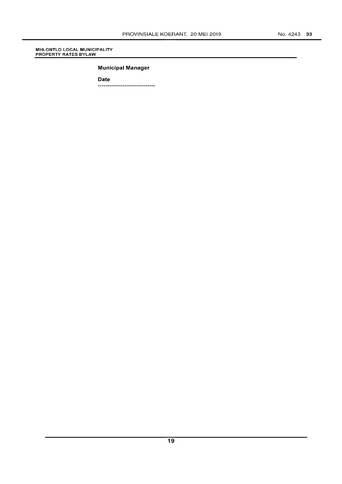## **Municipal Manager**

---------------------

**Date**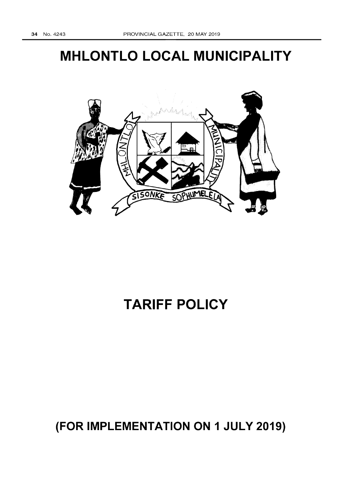**(FOR IMPLEMENTATION ON 1 JULY 2019)** 

# **TARIFF POLICY**



# **MHLONTLO LOCAL MUNICIPALITY**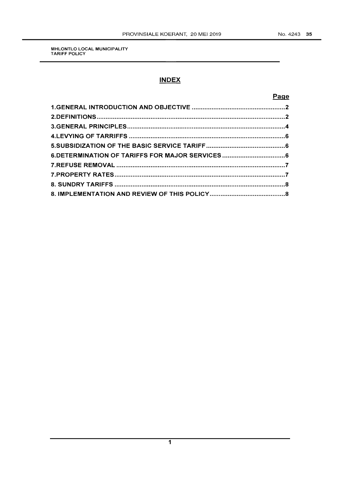## **INDEX**

## **Page**

| 6. DETERMINATION OF TARIFFS FOR MAJOR SERVICES  6 |  |
|---------------------------------------------------|--|
|                                                   |  |
|                                                   |  |
|                                                   |  |
|                                                   |  |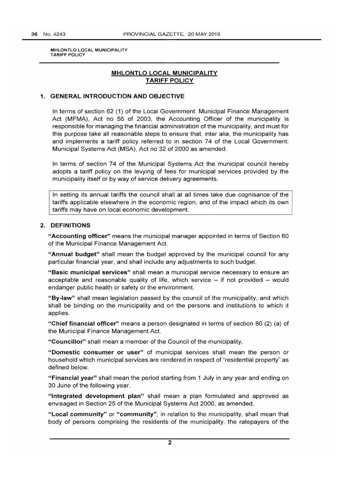## **MHLONTLO LOCAL MUNICIPALITY TARIFF POLICY**

## **1. GENERAL INTRODUCTION AND OBJECTIVE**

In terms of section 62 (1) of the Local Government: Municipal Finance Management Act (MFMA), Act no 56 of 2003, the Accounting Officer of the municipality is responsible for managing the financial administration of the municipality, and must for this purpose take all reasonable steps to ensure that, inter alia, the municipality has and implements a tariff policy referred to in section 74 of the Local Government: Municipal Systems Act (MSA), Act no 32 of 2000 as amended.

In terms of section 74 of the Municipal Systems Act the municipal council hereby adopts a tariff policy on the levying of fees for municipal services provided by the municipality itself or by way of service delivery agreements.

In setting its annual tariffs the council shall at all times take due cognisance of the tariffs applicable elsewhere in the economic region, and of the impact which its own tariffs may have on local economic development.

## **2. DEFINITIONS**

**"Accounting officer"** means the municipal manager appointed in terms of Section 60 of the Municipal Finance Management Act.

**"Annual budget"** shall mean the budget approved by the municipal council for any particular financial year, and shall include any adjustments to such budget.

**"Basic municipal services"** shall mean a municipal service necessary to ensure an acceptable and reasonable quality of life, which service  $-$  if not provided  $-$  would endanger public health or safety or the environment.

**"By-law"** shall mean legislation passed by the council of the municipality, and which shall be binding on the municipality and on the persons and institutions to which it applies.

**"Chief financial officer"** means a person designated in terms of section 80 (2) (a) of the Municipal Finance Management Act.

**"Councillor"** shall mean a member of the Council of the municipality.

**"Domestic consumer or user"** of municipal services shall mean the person or household which municipal services are rendered in respect of "residential property" as defined below.

**"Financial year"** shall mean the period starting from 1 July in any year and ending on 30 June of the following year.

**"Integrated development plan"** shall mean a plan formulated and approved as envisaged in Section 25 of the Municipal Systems Act 2000, as amended.

**"Local community" or "community",** in relation to the municipality, shall mean that body of persons comprising the residents of the municipality, the ratepayers of the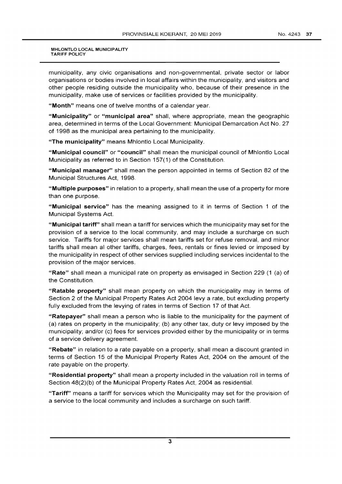municipality, any civic organisations and non-governmental, private sector or labor organisations or bodies involved in local affairs within the municipality, and visitors and other people residing outside the municipality who, because of their presence in the municipality, make use of services or facilities provided by the municipality.

"Month" means one of twelve months of a calendar year.

"Municipality" or "municipal area" shall, where appropriate, mean the geographic area, determined in terms of the Local Government: Municipal Demarcation Act No. 27 of 1998 as the municipal area pertaining to the municipality.

"The municipality" means Mhlontlo Local Municipality.

"Municipal council" or "council" shall mean the municipal council of Mhlontlo Local Municipality as referred to in Section 157(1) of the Constitution.

"Municipal manager" shall mean the person appointed in terms of Section 82 of the Municipal Structures Act, 1998.

"Multiple purposes" in relation to a property, shall mean the use of a property for more than one purpose.

"Municipal service" has the meaning assigned to it in terms of Section 1 of the Municipal Systems Act.

"Municipal tariff" shall mean a tariff for services which the municipality may set for the provision of a service to the local community, and may include a surcharge on such service. Tariffs for major services shall mean tariffs set for refuse removal, and minor tariffs shall mean al other tariffs, charges, fees, rentals or fines levied or imposed by the municipality in respect of other services supplied including services incidental to the provision of the major services.

"Rate" shall mean a municipal rate on property as envisaged in Section 229 (1 (a) of the Constitution.

"Ratable property" shall mean property on which the municipality may in terms of Section 2 of the Municipal Property Rates Act 2004 levy a rate, but excluding property fully excluded from the levying of rates in terms of Section 17 of that Act.

"Ratepayer" shall mean a person who is liable to the municipality for the payment of (a) rates on property in the municipality; (b) any other tax, duty or levy imposed by the municipality; and/or (c) fees for services provided either by the municipality or in terms of a service delivery agreement.

"Rebate" in relation to a rate payable on a property, shall mean a discount granted in terms of Section 15 of the Municipal Property Rates Act, 2004 on the amount of the rate payable on the property.

"Residential property" shall mean a property included in the valuation roll in terms of Section 48(2)(b) of the Municipal Property Rates Act, 2004 as residential.

"Tariff" means a tariff for services which the Municipality may set for the provision of a service to the local community and includes a surcharge on such tariff.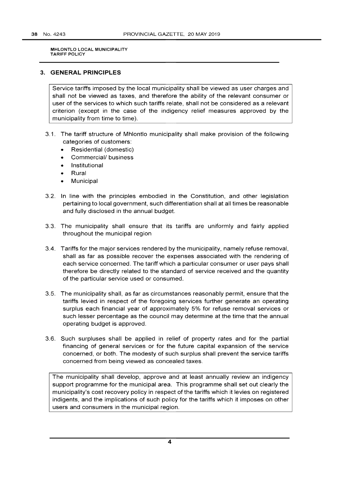## 3. **GENERAL PRINCIPLES**

Service tariffs imposed by the local municipality shall be viewed as user charges and shall not be viewed as taxes, and therefore the ability of the relevant consumer or user of the services to which such tariffs relate, shall not be considered as a relevant criterion (except in the case of the indigency relief measures approved by the municipality from time to time).

- 3.1. The tariff structure of Mhlontlo municipality shall make provision of the following categories of customers:
	- Residential (domestic)
	- Commercial/ business
	- Institutional
	- **Rural**
	- **Municipal**
- 3.2. In line with the principles embodied in the Constitution, and other legislation pertaining to local government, such differentiation shall at all times be reasonable and fully disclosed in the annual budget.
- 3.3. The municipality shall ensure that its tariffs are uniformly and fairly applied throughout the municipal region
- 3.4. Tariffs for the major services rendered by the municipality, namely refuse removal, shall as far as possible recover the expenses associated with the rendering of each service concerned. The tariff which a particular consumer or user pays shall therefore be directly related to the standard of service received and the quantity of the particular service used or consumed.
- 3.5. The municipality shall, as far as circumstances reasonably permit, ensure that the tariffs levied in respect of the foregoing services further generate an operating surplus each financial year of approximately 5% for refuse removal services or such lesser percentage as the council may determine at the time that the annual operating budget is approved.
- 3.6. Such surpluses shall be applied in relief of property rates and for the partial financing of general services or for the future capital expansion of the service concerned, or both. The modesty of such surplus shall prevent the service tariffs concerned from being viewed as concealed taxes.

The municipality shall develop, approve and at least annually review an indigency support programme for the municipal area. This programme shall set out clearly the municipality's cost recovery policy in respect of the tariffs which it levies on registered indigents, and the implications of such policy for the tariffs which it imposes on other users and consumers in the municipal region.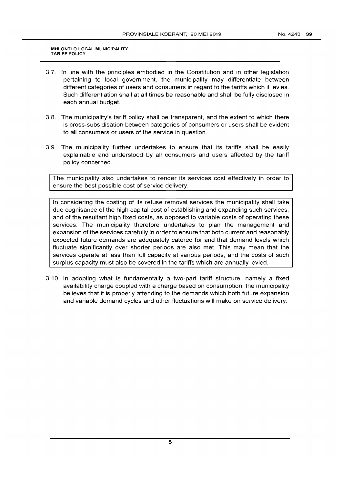- 3.7. In line with the principles embodied in the Constitution and in other legislation pertaining to local government, the municipality may differentiate between different categories of users and consumers in regard to the tariffs which it levies. Such differentiation shall at all times be reasonable and shall be fully disclosed in each annual budget.
- 3.8. The municipality's tariff policy shall be transparent, and the extent to which there is cross-subsidisation between categories of consumers or users shall be evident to all consumers or users of the service in question.
- 3.9. The municipality further undertakes to ensure that its tariffs shall be easily explainable and understood by all consumers and users affected by the tariff policy concerned.

The municipality also undertakes to render its services cost effectively in order to ensure the best possible cost of service delivery.

In considering the costing of its refuse removal services the municipality shall take due cognisance of the high capital cost of establishing and expanding such services, and of the resultant high fixed costs, as opposed to variable costs of operating these services. The municipality therefore undertakes to plan the management and expansion of the services carefully in order to ensure that both current and reasonably expected future demands are adequately catered for and that demand levels which fluctuate significantly over shorter periods are also met. This may mean that the services operate at less than full capacity at various periods, and the costs of such surplus capacity must also be covered in the tariffs which are annually levied.

3.10. In adopting what is fundamentally a two-part tariff structure, namely a fixed availability charge coupled with a charge based on consumption, the municipality believes that it is properly attending to the demands which both future expansion and variable demand cycles and other fluctuations will make on service delivery.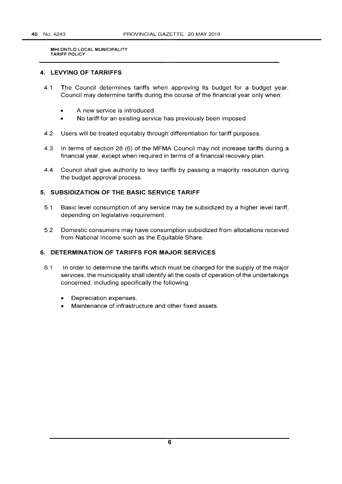## 4. **LEVYING OF TARRIFFS**

- 4.1 The Council determines tariffs when approving its budget for a budget year. Council may determine tariffs during the course of the financial year only when:
	- A new service is introduced.
	- No tariff for an existing service has previously been imposed.
- 4.2 Users will be treated equitably through differentiation for tariff purposes.
- 4.3 In terms of section 28 (6) of the MFMA Council may not increase tariffs during a financial year, except when required in terms of a financial recovery plan.
- 4.4 Council shall give authority to levy tariffs by passing a majority resolution during the budget approval process.

## 5. **SUBSIDIZATION OF THE BASIC SERVICE TARIFF**

- 5.1 Basic level consumption of any service may be subsidized by a higher level tariff, depending on legislative requirement.
- 5.2 Domestic consumers may have consumption subsidized from allocations received from National Income such as the Equitable Share.

## 6. **DETERMINATION OF TARIFFS FOR MAJOR SERVICES**

- 6.1 In order to determine the tariffs which must be charged for the supply of the major services, the municipality shall identify all the costs of operation of the undertakings concerned, including specifically the following:
	- Depreciation expenses.
	- Maintenance of infrastructure and other fixed assets.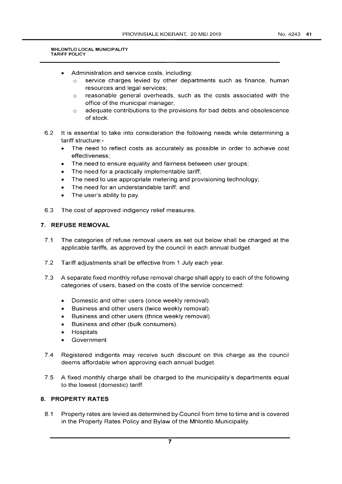- Administration and service costs, including:
	- $\circ$  service charges levied by other departments such as finance, human resources and legal services;
	- $\circ$  reasonable general overheads, such as the costs associated with the office of the municipal manager;
	- o adequate contributions to the provisions for bad debts and obsolescence of stock.
- 6.2 It is essential to take into consideration the following needs while determining a tariff structure:-
	- The need to reflect costs as accurately as possible in order to achieve cost effectiveness;
	- The need to ensure equality and fairness between user groups;
	- The need for a practically implementable tariff;
	- The need to use appropriate metering and provisioning technology;
	- The need for an understandable tariff; and
	- The user's ability to pay.
- 6.3 The cost of approved indigency relief measures.

## 7. **REFUSE REMOVAL**

- 7.1 The categories of refuse removal users as set out below shall be charged at the applicable tariffs, as approved by the council in each annual budget.
- 7.2 Tariff adjustments shall be effective from 1 July each year.
- 7.3 A separate fixed monthly refuse removal charge shall apply to each of the following categories of users, based on the costs of the service concerned:
	- Domestic and other users (once weekly removal).
	- Business and other users (twice weekly removal).
	- Business and other users (thrice weekly removal).
	- Business and other (bulk consumers).
	- Hospitals
	- Government
- 7.4 Registered indigents may receive such discount on this charge as the council deems affordable when approving each annual budget.
- 7.5 A fixed monthly charge shall be charged to the municipality's departments equal to the lowest (domestic) tariff.

## 8. **PROPERTY RATES**

8.1 Property rates are levied as determined by Council from time to time and is covered in the Property Rates Policy and Bylaw of the Mhlontlo Municipality.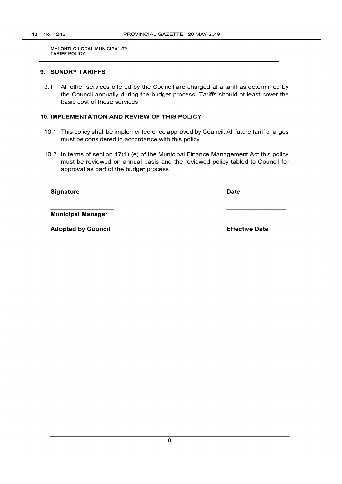## **9. SUNDRY TARIFFS**

9.1 All other services offered by the Council are charged at a tariff as determined by the Council annually during the budget process. Tariffs should at least cover the basic cost of these services.

## **10. IMPLEMENTATION AND REVIEW OF THIS POLICY**

- 10.1 This policy shall be implemented once approved by Council. All future tariff charges must be considered in accordance with this policy.
- 10.2 In terms of section 17(1) (e) of the Municipal Finance Management Act this policy must be reviewed on annual basis and the reviewed policy tabled to Council for approval as part of the budget process.

**Signature Date Date** 

**Municipal Manager** 

**Adopted by Council Effective Date**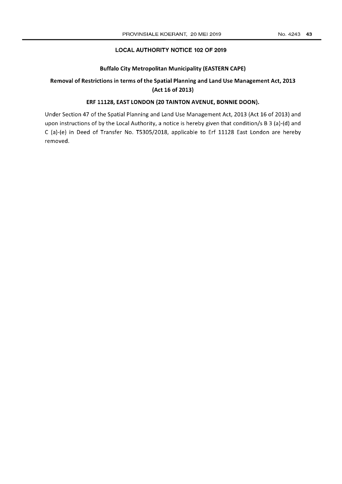## LOCAL AUTHORITY NOTICE 102 OF 2019

## Buffalo City Metropolitan Municipality (EASTERN CAPE)

## Removal of Restrictions in terms of the Spatial Planning and Land Use Management Act, 2013 (Act 16 of 2013)

## ERF 11128, EAST LONDON (20 TAINTON AVENUE, BONNIE DOON).

Under Section 47 of the Spatial Planning and Land Use Management Act, 2013 (Act 16 of 2013) and upon instructions of by the Local Authority, a notice is hereby given that condition/s B 3 (a)-(d) and C (a)-(e) in Deed of Transfer No. TS30S/2018, applicable to Erf 11128 East London are hereby removed.